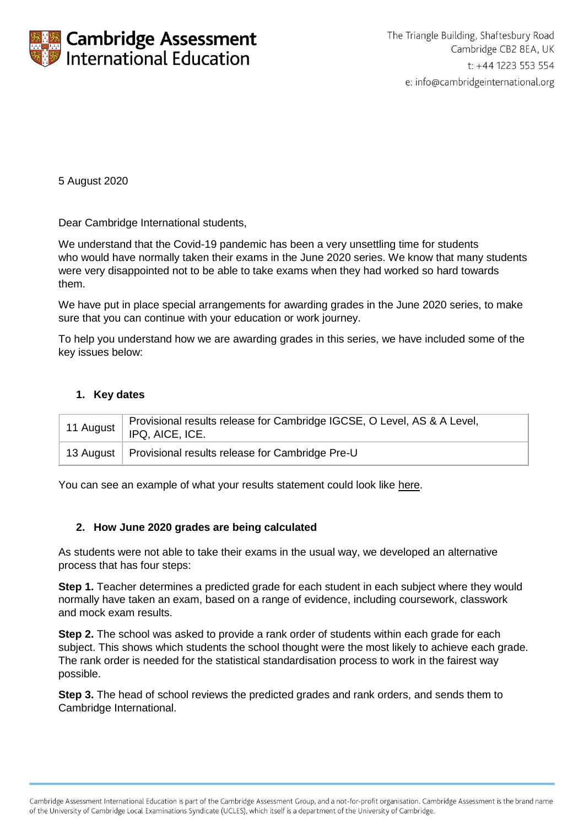

5 August 2020

Dear Cambridge International students,

We understand that the Covid-19 pandemic has been a very unsettling time for students who would have normally taken their exams in the June 2020 series. We know that many students were very disappointed not to be able to take exams when they had worked so hard towards them.

We have put in place special arrangements for awarding grades in the June 2020 series, to make sure that you can continue with your education or work journey.

To help you understand how we are awarding grades in this series, we have included some of the key issues below:

## **1. Key dates**

| 11 August | Provisional results release for Cambridge IGCSE, O Level, AS & A Level,<br>IPQ, AICE, ICE. |
|-----------|--------------------------------------------------------------------------------------------|
|           | 13 August   Provisional results release for Cambridge Pre-U                                |

You can see an example of what your results statement could look like [here.](http://www.cambridgeinternational.org/Images/590915-provisional-candidate-results-sample.pdf)

#### **2. How June 2020 grades are being calculated**

As students were not able to take their exams in the usual way, we developed an alternative process that has four steps:

**Step 1.** Teacher determines a predicted grade for each student in each subject where they would normally have taken an exam, based on a range of evidence, including coursework, classwork and mock exam results.

**Step 2.** The school was asked to provide a rank order of students within each grade for each subject. This shows which students the school thought were the most likely to achieve each grade. The rank order is needed for the statistical standardisation process to work in the fairest way possible.

**Step 3.** The head of school reviews the predicted grades and rank orders, and sends them to Cambridge International.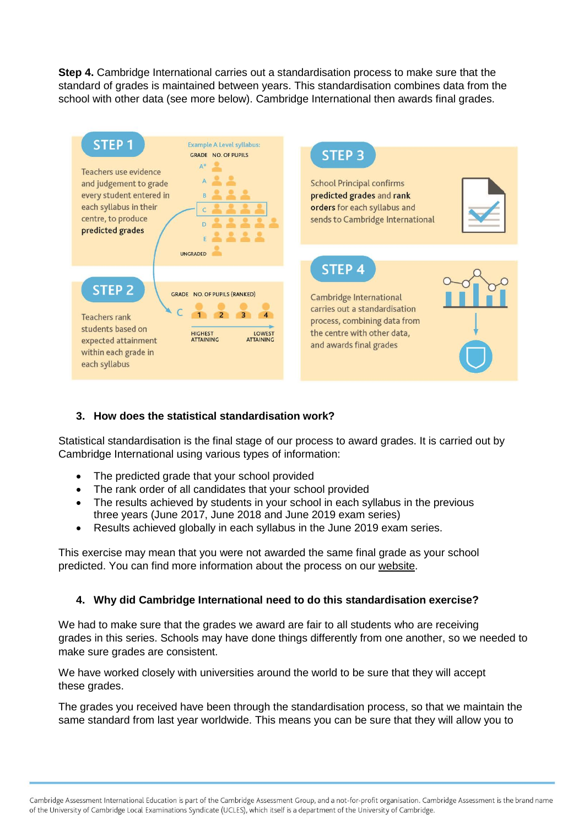**Step 4.** Cambridge International carries out a standardisation process to make sure that the standard of grades is maintained between years. This standardisation combines data from the school with other data (see more below). Cambridge International then awards final grades.



# **3. How does the statistical standardisation work?**

Statistical standardisation is the final stage of our process to award grades. It is carried out by Cambridge International using various types of information:

- The predicted grade that your school provided
- The rank order of all candidates that your school provided
- The results achieved by students in your school in each syllabus in the previous three years (June 2017, June 2018 and June 2019 exam series)
- Results achieved globally in each syllabus in the June 2019 exam series.

This exercise may mean that you were not awarded the same final grade as your school predicted. You can find more information about the process on our [website.](https://www.cambridgeinternational.org/covid/understanding-results/)

# **4. Why did Cambridge International need to do this standardisation exercise?**

We had to make sure that the grades we award are fair to all students who are receiving grades in this series. Schools may have done things differently from one another, so we needed to make sure grades are consistent.

We have worked closely with universities around the world to be sure that they will accept these grades.

The grades you received have been through the standardisation process, so that we maintain the same standard from last year worldwide. This means you can be sure that they will allow you to

Cambridge Assessment International Education is part of the Cambridge Assessment Group, and a not-for-profit organisation. Cambridge Assessment is the brand name of the University of Cambridge Local Examinations Syndicate (UCLES), which itself is a department of the University of Cambridge.